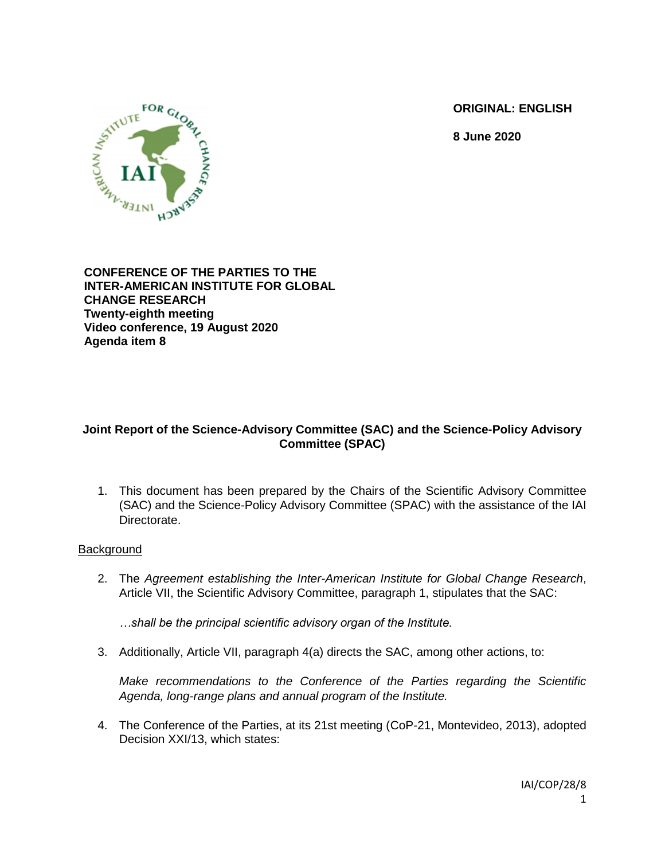**ORIGINAL: ENGLISH**

**8 June 2020**



**CONFERENCE OF THE PARTIES TO THE INTER-AMERICAN INSTITUTE FOR GLOBAL CHANGE RESEARCH Twenty-eighth meeting Video conference, 19 August 2020 Agenda item 8**

# **Joint Report of the Science-Advisory Committee (SAC) and the Science-Policy Advisory Committee (SPAC)**

1. This document has been prepared by the Chairs of the Scientific Advisory Committee (SAC) and the Science-Policy Advisory Committee (SPAC) with the assistance of the IAI Directorate.

## **Background**

2. The *Agreement establishing the Inter-American Institute for Global Change Research*, Article VII, the Scientific Advisory Committee, paragraph 1, stipulates that the SAC:

*…shall be the principal scientific advisory organ of the Institute.* 

3. Additionally, Article VII, paragraph 4(a) directs the SAC, among other actions, to:

*Make recommendations to the Conference of the Parties regarding the Scientific Agenda, long-range plans and annual program of the Institute.*

4. The Conference of the Parties, at its 21st meeting (CoP-21, Montevideo, 2013), adopted Decision XXI/13, which states: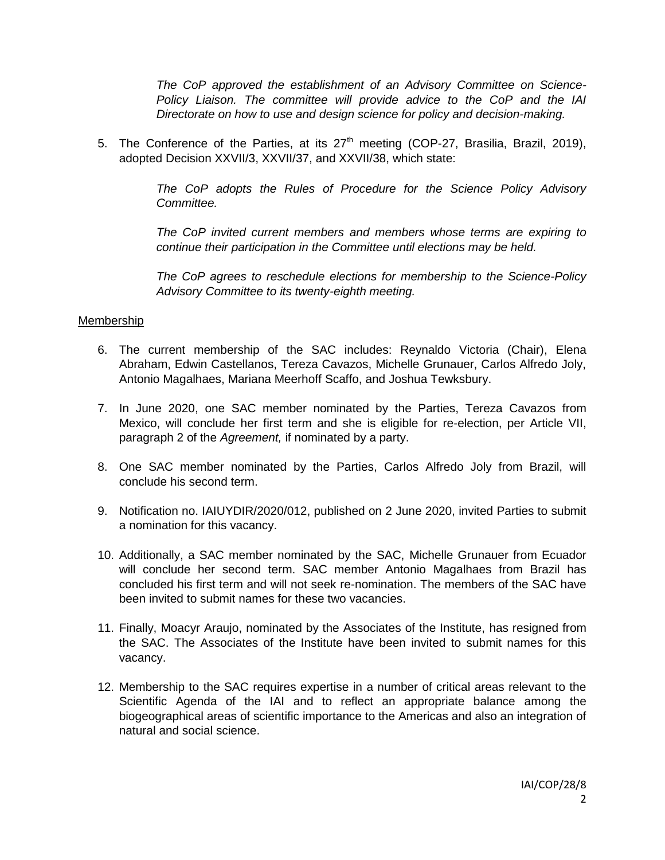*The CoP approved the establishment of an Advisory Committee on Science-Policy Liaison. The committee will provide advice to the CoP and the IAI Directorate on how to use and design science for policy and decision-making.*

5. The Conference of the Parties, at its  $27<sup>th</sup>$  meeting (COP-27, Brasilia, Brazil, 2019), adopted Decision XXVII/3, XXVII/37, and XXVII/38, which state:

> *The CoP adopts the Rules of Procedure for the Science Policy Advisory Committee.*

> *The CoP invited current members and members whose terms are expiring to continue their participation in the Committee until elections may be held.*

> *The CoP agrees to reschedule elections for membership to the Science-Policy Advisory Committee to its twenty-eighth meeting.*

### Membership

- 6. The current membership of the SAC includes: Reynaldo Victoria (Chair), Elena Abraham, Edwin Castellanos, Tereza Cavazos, Michelle Grunauer, Carlos Alfredo Joly, Antonio Magalhaes, Mariana Meerhoff Scaffo, and Joshua Tewksbury.
- 7. In June 2020, one SAC member nominated by the Parties, Tereza Cavazos from Mexico, will conclude her first term and she is eligible for re-election, per Article VII, paragraph 2 of the *Agreement,* if nominated by a party.
- 8. One SAC member nominated by the Parties, Carlos Alfredo Joly from Brazil, will conclude his second term.
- 9. Notification no. IAIUYDIR/2020/012, published on 2 June 2020, invited Parties to submit a nomination for this vacancy.
- 10. Additionally, a SAC member nominated by the SAC, Michelle Grunauer from Ecuador will conclude her second term. SAC member Antonio Magalhaes from Brazil has concluded his first term and will not seek re-nomination. The members of the SAC have been invited to submit names for these two vacancies.
- 11. Finally, Moacyr Araujo, nominated by the Associates of the Institute, has resigned from the SAC. The Associates of the Institute have been invited to submit names for this vacancy.
- 12. Membership to the SAC requires expertise in a number of critical areas relevant to the Scientific Agenda of the IAI and to reflect an appropriate balance among the biogeographical areas of scientific importance to the Americas and also an integration of natural and social science.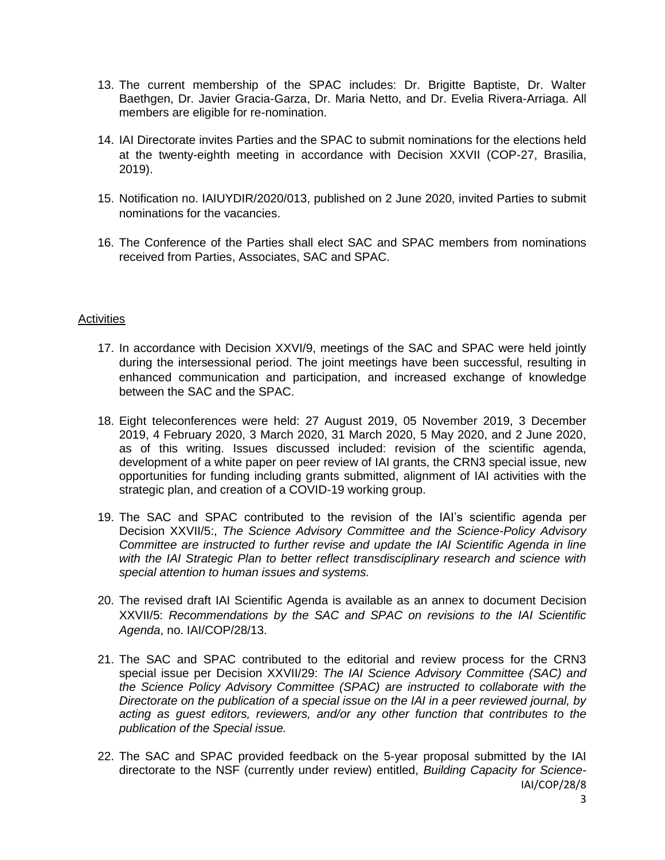- 13. The current membership of the SPAC includes: Dr. Brigitte Baptiste, Dr. Walter Baethgen, Dr. Javier Gracia-Garza, Dr. Maria Netto, and Dr. Evelia Rivera-Arriaga. All members are eligible for re-nomination.
- 14. IAI Directorate invites Parties and the SPAC to submit nominations for the elections held at the twenty-eighth meeting in accordance with Decision XXVII (COP-27, Brasilia, 2019).
- 15. Notification no. IAIUYDIR/2020/013, published on 2 June 2020, invited Parties to submit nominations for the vacancies.
- 16. The Conference of the Parties shall elect SAC and SPAC members from nominations received from Parties, Associates, SAC and SPAC.

### **Activities**

- 17. In accordance with Decision XXVI/9, meetings of the SAC and SPAC were held jointly during the intersessional period. The joint meetings have been successful, resulting in enhanced communication and participation, and increased exchange of knowledge between the SAC and the SPAC.
- 18. Eight teleconferences were held: 27 August 2019, 05 November 2019, 3 December 2019, 4 February 2020, 3 March 2020, 31 March 2020, 5 May 2020, and 2 June 2020, as of this writing. Issues discussed included: revision of the scientific agenda, development of a white paper on peer review of IAI grants, the CRN3 special issue, new opportunities for funding including grants submitted, alignment of IAI activities with the strategic plan, and creation of a COVID-19 working group.
- 19. The SAC and SPAC contributed to the revision of the IAI's scientific agenda per Decision XXVII/5:, *The Science Advisory Committee and the Science-Policy Advisory Committee are instructed to further revise and update the IAI Scientific Agenda in line with the IAI Strategic Plan to better reflect transdisciplinary research and science with special attention to human issues and systems.*
- 20. The revised draft IAI Scientific Agenda is available as an annex to document Decision XXVII/5: *Recommendations by the SAC and SPAC on revisions to the IAI Scientific Agenda*, no. IAI/COP/28/13.
- 21. The SAC and SPAC contributed to the editorial and review process for the CRN3 special issue per Decision XXVII/29: *The IAI Science Advisory Committee (SAC) and the Science Policy Advisory Committee (SPAC) are instructed to collaborate with the Directorate on the publication of a special issue on the IAI in a peer reviewed journal, by acting as guest editors, reviewers, and/or any other function that contributes to the publication of the Special issue.*
- IAI/COP/28/8 22. The SAC and SPAC provided feedback on the 5-year proposal submitted by the IAI directorate to the NSF (currently under review) entitled, *Building Capacity for Science-*